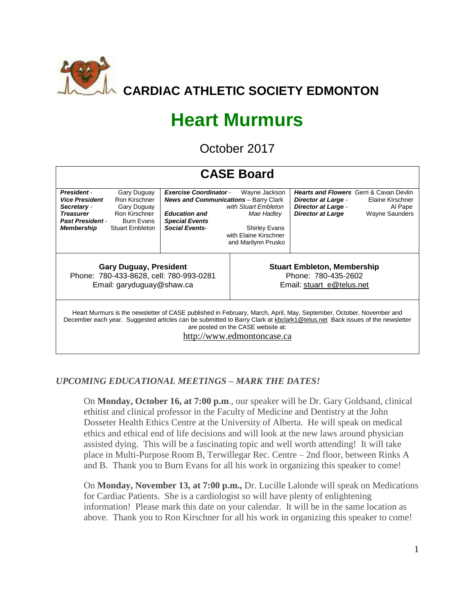

# **Heart Murmurs**

October 2017

| <b>CASE Board</b>                                                                                                                                                                                                                                                                                                    |                                                                                                      |                                                                                                                                                         |                                                                                                                             |                                                                                                                                        |                                                      |  |  |  |  |  |
|----------------------------------------------------------------------------------------------------------------------------------------------------------------------------------------------------------------------------------------------------------------------------------------------------------------------|------------------------------------------------------------------------------------------------------|---------------------------------------------------------------------------------------------------------------------------------------------------------|-----------------------------------------------------------------------------------------------------------------------------|----------------------------------------------------------------------------------------------------------------------------------------|------------------------------------------------------|--|--|--|--|--|
| <b>President</b><br><b>Vice President</b><br>Secretary -<br><b>Treasurer</b><br><b>Past President -</b><br><b>Membership</b>                                                                                                                                                                                         | Gary Duguay<br>Ron Kirschner<br>Gary Duguay<br>Ron Kirschner<br>Burn Evans<br><b>Stuart Embleton</b> | <b>Exercise Coordinator -</b><br><b>News and Communications</b> - Barry Clark<br><b>Education and</b><br><b>Special Events</b><br><b>Social Events-</b> | Wayne Jackson<br>with Stuart Embleton<br>Mae Hadley<br><b>Shirley Evans</b><br>with Elaine Kirschner<br>and Marilynn Prusko | <b>Hearts and Flowers</b> Gerri & Cavan Devlin<br><b>Director at Large -</b><br><b>Director at Large -</b><br><b>Director at Large</b> | Elaine Kirschner<br>Al Pape<br><b>Wayne Saunders</b> |  |  |  |  |  |
| <b>Gary Duguay, President</b><br>Phone: 780-433-8628, cell: 780-993-0281<br>Email: garyduguay@shaw.ca                                                                                                                                                                                                                |                                                                                                      |                                                                                                                                                         | <b>Stuart Embleton, Membership</b><br>Phone: 780-435-2602<br>Email: stuart e@telus.net                                      |                                                                                                                                        |                                                      |  |  |  |  |  |
| Heart Murmurs is the newsletter of CASE published in February, March, April, May, September, October, November and<br>December each year. Suggested articles can be submitted to Barry Clark at kbclark1@telus.net Back issues of the newsletter<br>are posted on the CASE website at:<br>http://www.edmontoncase.ca |                                                                                                      |                                                                                                                                                         |                                                                                                                             |                                                                                                                                        |                                                      |  |  |  |  |  |

# *UPCOMING EDUCATIONAL MEETINGS – MARK THE DATES!*

On **Monday, October 16, at 7:00 p.m**., our speaker will be Dr. Gary Goldsand, clinical ethitist and clinical professor in the Faculty of Medicine and Dentistry at the John Dosseter Health Ethics Centre at the University of Alberta. He will speak on medical ethics and ethical end of life decisions and will look at the new laws around physician assisted dying. This will be a fascinating topic and well worth attending! It will take place in Multi-Purpose Room B, Terwillegar Rec. Centre – 2nd floor, between Rinks A and B. Thank you to Burn Evans for all his work in organizing this speaker to come!

On **Monday, November 13, at 7:00 p.m.,** Dr. Lucille Lalonde will speak on Medications for Cardiac Patients. She is a cardiologist so will have plenty of enlightening information! Please mark this date on your calendar. It will be in the same location as above. Thank you to Ron Kirschner for all his work in organizing this speaker to come!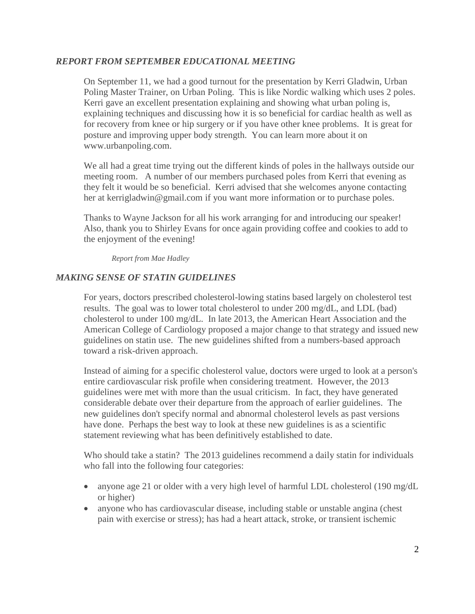### *REPORT FROM SEPTEMBER EDUCATIONAL MEETING*

On September 11, we had a good turnout for the presentation by Kerri Gladwin, Urban Poling Master Trainer, on Urban Poling. This is like Nordic walking which uses 2 poles. Kerri gave an excellent presentation explaining and showing what urban poling is, explaining techniques and discussing how it is so beneficial for cardiac health as well as for recovery from knee or hip surgery or if you have other knee problems. It is great for posture and improving upper body strength. You can learn more about it on [www.urbanpoling.com.](http://www.urbanpoling.com/)

We all had a great time trying out the different kinds of poles in the hallways outside our meeting room. A number of our members purchased poles from Kerri that evening as they felt it would be so beneficial. Kerri advised that she welcomes anyone contacting her at [kerrigladwin@gmail.com](mailto:kerrigladwin@gmail.com) if you want more information or to purchase poles.

Thanks to Wayne Jackson for all his work arranging for and introducing our speaker! Also, thank you to Shirley Evans for once again providing coffee and cookies to add to the enjoyment of the evening!

*Report from Mae Hadley*

#### *MAKING SENSE OF STATIN GUIDELINES*

For years, doctors prescribed cholesterol-lowing statins based largely on cholesterol test results. The goal was to lower total cholesterol to under 200 mg/dL, and LDL (bad) cholesterol to under 100 mg/dL. In late 2013, the American Heart Association and the American College of Cardiology proposed a major change to that strategy and issued new guidelines on statin use. The new guidelines shifted from a numbers-based approach toward a risk-driven approach.

Instead of aiming for a specific cholesterol value, doctors were urged to look at a person's entire cardiovascular risk profile when considering treatment. However, the 2013 guidelines were met with more than the usual criticism. In fact, they have generated considerable debate over their departure from the approach of earlier guidelines. The new guidelines don't specify normal and abnormal cholesterol levels as past versions have done. Perhaps the best way to look at these new guidelines is as a scientific statement reviewing what has been definitively established to date.

Who should take a statin? The 2013 guidelines recommend a daily statin for individuals who fall into the following four categories:

- anyone age 21 or older with a very high level of harmful LDL cholesterol (190 mg/dL) or higher)
- anyone who has cardiovascular disease, including stable or unstable angina (chest) pain with exercise or stress); has had a heart attack, stroke, or transient ischemic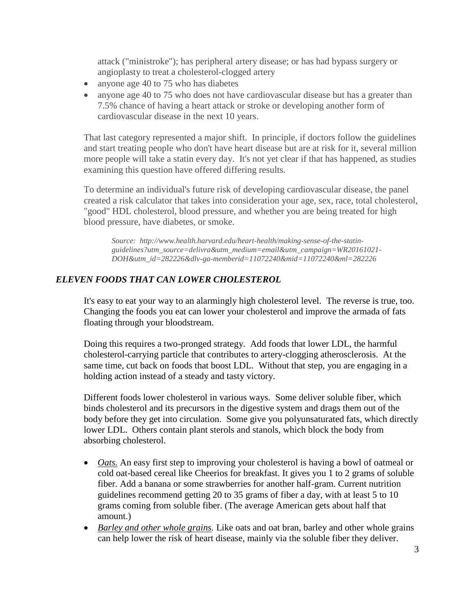attack ("ministroke"); has peripheral artery disease; or has had bypass surgery or angioplasty to treat a cholesterol-clogged artery

- anyone age 40 to 75 who has diabetes
- anyone age 40 to 75 who does not have cardiovascular disease but has a greater than 7.5% chance of having a heart attack or stroke or developing another form of cardiovascular disease in the next 10 years.

That last category represented a major shift. In principle, if doctors follow the guidelines and start treating people who don't have heart disease but are at risk for it, several million more people will take a statin every day. It's not yet clear if that has happened, as studies examining this question have offered differing results.

To determine an individual's future risk of developing cardiovascular disease, the panel created a risk calculator that takes into consideration your age, sex, race, total cholesterol, "good" HDL cholesterol, blood pressure, and whether you are being treated for high blood pressure, have diabetes, or smoke.

*Source: http://www.health.harvard.edu/heart-health/making-sense-of-the-statinguidelines?utm\_source=delivra&utm\_medium=email&utm\_campaign=WR20161021- DOH&utm\_id=282226&dlv-ga-memberid=11072240&mid=11072240&ml=282226*

# *ELEVEN FOODS THAT CAN LOWER CHOLESTEROL*

It's easy to eat your way to an alarmingly high cholesterol level. The reverse is true, too. Changing the foods you eat can lower your cholesterol and improve the armada of fats floating through your bloodstream.

Doing this requires a two-pronged strategy. Add foods that lower LDL, the harmful cholesterol-carrying particle that contributes to artery-clogging atherosclerosis. At the same time, cut back on foods that boost LDL. Without that step, you are engaging in a holding action instead of a steady and tasty victory.

Different foods lower cholesterol in various ways. Some deliver soluble fiber, which binds cholesterol and its precursors in the digestive system and drags them out of the body before they get into circulation. Some give you polyunsaturated fats, which directly lower LDL. Others contain plant sterols and stanols, which block the body from absorbing cholesterol.

- *Oats*. An easy first step to improving your cholesterol is having a bowl of oatmeal or cold oat-based cereal like Cheerios for breakfast. It gives you 1 to 2 grams of soluble fiber. Add a banana or some strawberries for another half-gram. Current nutrition guidelines recommend getting 20 to 35 grams of fiber a day, with at least 5 to 10 grams coming from soluble fiber. (The average American gets about half that amount.)
- *Barley and other whole grains.* Like oats and oat bran, barley and other whole grains can help lower the risk of heart disease, mainly via the soluble fiber they deliver.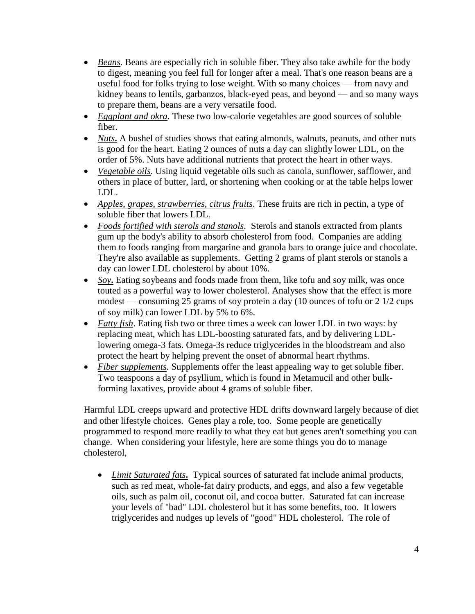- *Beans*. Beans are especially rich in soluble fiber. They also take awhile for the body to digest, meaning you feel full for longer after a meal. That's one reason beans are a useful food for folks trying to lose weight. With so many choices — from navy and kidney beans to lentils, garbanzos, black-eyed peas, and beyond — and so many ways to prepare them, beans are a very versatile food.
- *Eggplant and okra*. These two low-calorie vegetables are good sources of soluble fiber.
- *Nuts***.** A bushel of studies shows that eating almonds, walnuts, peanuts, and other nuts is good for the heart. Eating 2 ounces of nuts a day can slightly lower LDL, on the order of 5%. Nuts have additional nutrients that protect the heart in other ways.
- *Vegetable oils.* Using liquid vegetable oils such as canola, sunflower, safflower, and others in place of butter, lard, or shortening when cooking or at the table helps lower LDL.
- *Apples, grapes, strawberries, citrus fruits*. These fruits are rich in pectin, a type of soluble fiber that lowers LDL.
- *Foods fortified with sterols and stanols.* Sterols and stanols extracted from plants gum up the body's ability to absorb cholesterol from food. Companies are adding them to foods ranging from margarine and granola bars to orange juice and chocolate. They're also available as supplements. Getting 2 grams of plant sterols or stanols a day can lower LDL cholesterol by about 10%.
- *Soy***.** Eating soybeans and foods made from them, like tofu and soy milk, was once touted as a powerful way to lower cholesterol. Analyses show that the effect is more modest — consuming 25 grams of soy protein a day (10 ounces of tofu or 2 1/2 cups of soy milk) can lower LDL by 5% to 6%.
- *Fatty fish*. Eating fish two or three times a week can lower LDL in two ways: by replacing meat, which has LDL-boosting saturated fats, and by delivering LDLlowering omega-3 fats. Omega-3s reduce triglycerides in the bloodstream and also protect the heart by helping prevent the onset of abnormal heart rhythms.
- *Fiber supplements.* Supplements offer the least appealing way to get soluble fiber. Two teaspoons a day of psyllium, which is found in Metamucil and other bulkforming laxatives, provide about 4 grams of soluble fiber.

Harmful LDL creeps upward and protective HDL drifts downward largely because of diet and other lifestyle choices. Genes play a role, too. Some people are genetically programmed to respond more readily to what they eat but genes aren't something you can change. When considering your lifestyle, here are some things you do to manage cholesterol,

• *Limit Saturated fats***.** Typical sources of saturated fat include animal products, such as red meat, whole-fat dairy products, and eggs, and also a few vegetable oils, such as palm oil, coconut oil, and cocoa butter. Saturated fat can increase your levels of "bad" LDL cholesterol but it has some benefits, too. It lowers triglycerides and nudges up levels of "good" HDL cholesterol. The role of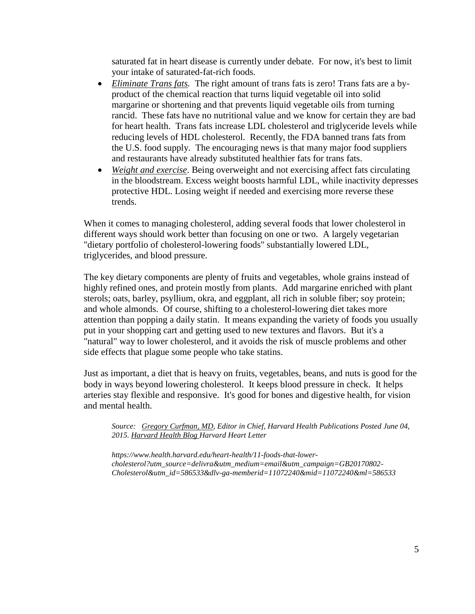saturated fat in heart disease is currently under debate. For now, it's best to limit your intake of saturated-fat-rich foods.

- *Eliminate Trans fats.* The right amount of trans fats is zero! Trans fats are a byproduct of the chemical reaction that turns liquid vegetable oil into solid margarine or shortening and that prevents liquid vegetable oils from turning rancid. These fats have no nutritional value and we know for certain they are bad for heart health. Trans fats increase LDL cholesterol and triglyceride levels while reducing levels of HDL cholesterol. Recently, the FDA banned trans fats from the U.S. food supply. The encouraging news is that many major food suppliers and restaurants have already substituted healthier fats for trans fats.
- *Weight and exercise*. Being overweight and not exercising affect fats circulating in the bloodstream. Excess weight boosts harmful LDL, while inactivity depresses protective HDL. Losing weight if needed and exercising more reverse these trends.

When it comes to managing cholesterol, adding several foods that lower cholesterol in different ways should work better than focusing on one or two. A largely vegetarian "dietary portfolio of cholesterol-lowering foods" substantially lowered LDL, triglycerides, and blood pressure.

The key dietary components are plenty of fruits and vegetables, whole grains instead of highly refined ones, and protein mostly from plants. Add margarine enriched with plant sterols; oats, barley, psyllium, okra, and eggplant, all rich in soluble fiber; soy protein; and whole almonds. Of course, shifting to a cholesterol-lowering diet takes more attention than popping a daily statin. It means expanding the variety of foods you usually put in your shopping cart and getting used to new textures and flavors. But it's a "natural" way to lower cholesterol, and it avoids the risk of muscle problems and other side effects that plague some people who take statins.

Just as important, a diet that is heavy on fruits, vegetables, beans, and nuts is good for the body in ways beyond lowering cholesterol. It keeps blood pressure in check. It helps arteries stay flexible and responsive. It's good for bones and digestive health, for vision and mental health.

*Source: [Gregory Curfman, MD,](http://www.health.harvard.edu/blog/author/gregcurfman) Editor in Chief, Harvard Health Publications Posted June 04, 2015. [Harvard Health Blog](http://www.health.harvard.edu/blog) [Harvard Heart Letter](https://www.health.harvard.edu/newsletters/harvard_heart_letter/2009/october)* 

*https://www.health.harvard.edu/heart-health/11-foods-that-lowercholesterol?utm\_source=delivra&utm\_medium=email&utm\_campaign=GB20170802- Cholesterol&utm\_id=586533&dlv-ga-memberid=11072240&mid=11072240&ml=586533*